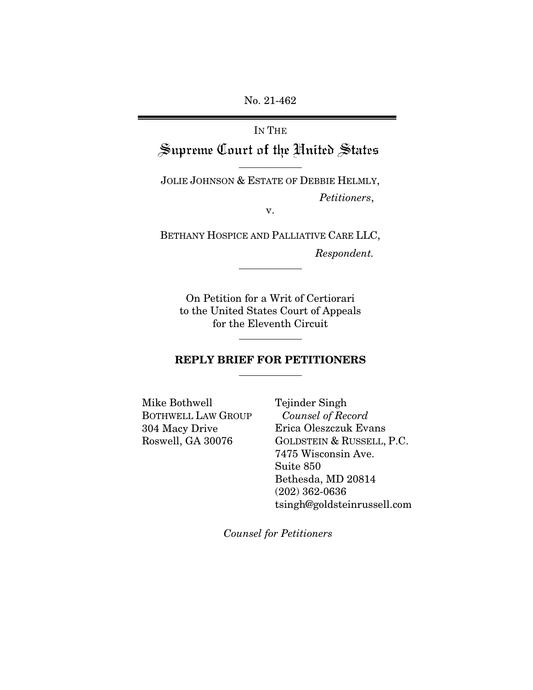No. 21-462

# IN THE Supreme Court of the United States

JOLIE JOHNSON & ESTATE OF DEBBIE HELMLY, *Petitioners*,

v.

BETHANY HOSPICE AND PALLIATIVE CARE LLC,

*Respondent.*

On Petition for a Writ of Certiorari to the United States Court of Appeals for the Eleventh Circuit

### REPLY BRIEF FOR PETITIONERS

Mike Bothwell BOTHWELL LAW GROUP 304 Macy Drive Roswell, GA 30076

Tejinder Singh *Counsel of Record* Erica Oleszczuk Evans GOLDSTEIN & RUSSELL, P.C. 7475 Wisconsin Ave. Suite 850 Bethesda, MD 20814 (202) 362-0636 tsingh@goldsteinrussell.com

*Counsel for Petitioners*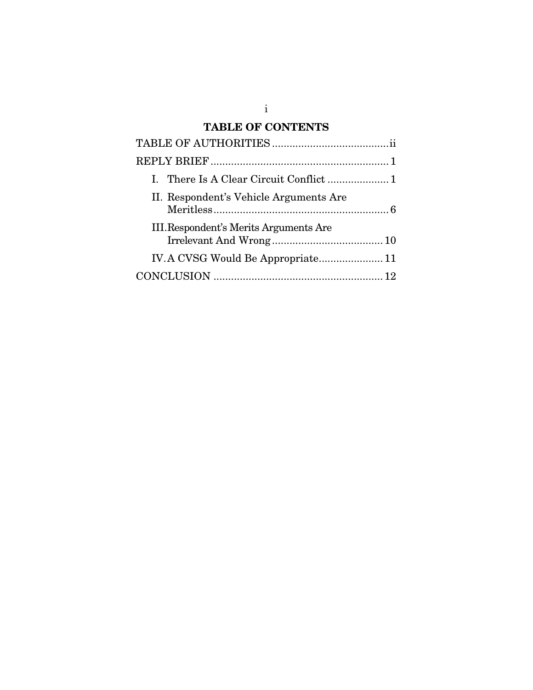## TABLE OF CONTENTS

| II. Respondent's Vehicle Arguments Are |  |
|----------------------------------------|--|
| III. Respondent's Merits Arguments Are |  |
|                                        |  |
|                                        |  |

i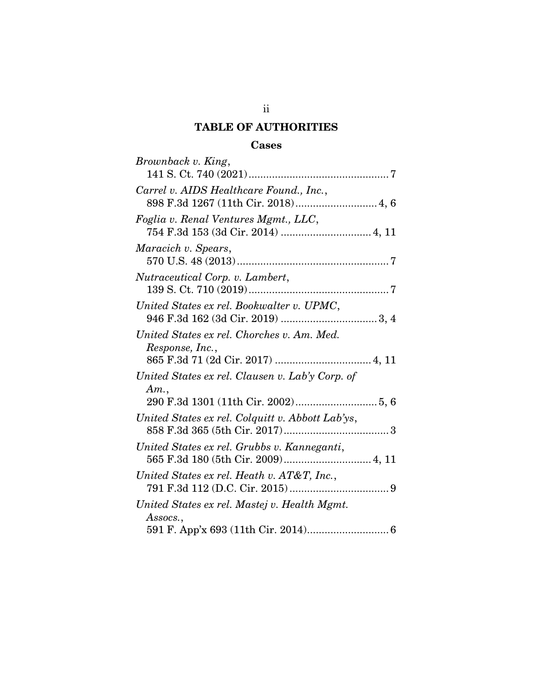## TABLE OF AUTHORITIES

## Cases

<span id="page-2-0"></span>

| Brownback v. King,                                                                |
|-----------------------------------------------------------------------------------|
| Carrel v. AIDS Healthcare Found., Inc.,<br>898 F.3d 1267 (11th Cir. 2018) 4, 6    |
| Foglia v. Renal Ventures Mgmt., LLC,                                              |
| Maracich v. Spears,                                                               |
| Nutraceutical Corp. v. Lambert,                                                   |
| United States ex rel. Bookwalter v. UPMC,                                         |
| United States ex rel. Chorches v. Am. Med.<br>Response, Inc.,                     |
| United States ex rel. Clausen v. Lab'y Corp. of<br>Am.                            |
| United States ex rel. Colquitt v. Abbott Lab'ys,                                  |
| United States ex rel. Grubbs v. Kanneganti,<br>565 F.3d 180 (5th Cir. 2009) 4, 11 |
| United States ex rel. Heath v. AT&T, Inc.,                                        |
| United States ex rel. Mastej v. Health Mgmt.<br>Assocs.,                          |
|                                                                                   |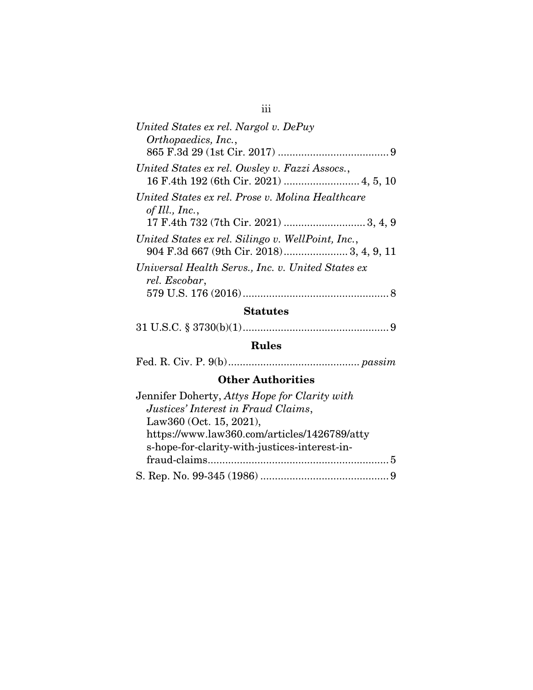| United States ex rel. Nargol v. DePuy<br>Orthopaedics, Inc.,                             |
|------------------------------------------------------------------------------------------|
|                                                                                          |
| United States ex rel. Owsley v. Fazzi Assocs.,<br>16 F.4th 192 (6th Cir. 2021)  4, 5, 10 |
| United States ex rel. Prose v. Molina Healthcare<br>of Ill., Inc.,                       |
| United States ex rel. Silingo v. WellPoint, Inc.,                                        |
| Universal Health Servs., Inc. v. United States ex<br>rel. Escobar,                       |

## Statutes

31 U.S.C. § 3730(b)(1).................................................. 9

## Rules

Fed. R. Civ. P. 9(b)............................................. *passim*

## Other Authorities

| Jennifer Doherty, Attys Hope for Clarity with |  |
|-----------------------------------------------|--|
| Justices' Interest in Fraud Claims,           |  |
| Law360 (Oct. 15, 2021),                       |  |
| https://www.law360.com/articles/1426789/atty  |  |
| s-hope-for-clarity-with-justices-interest-in- |  |
|                                               |  |
|                                               |  |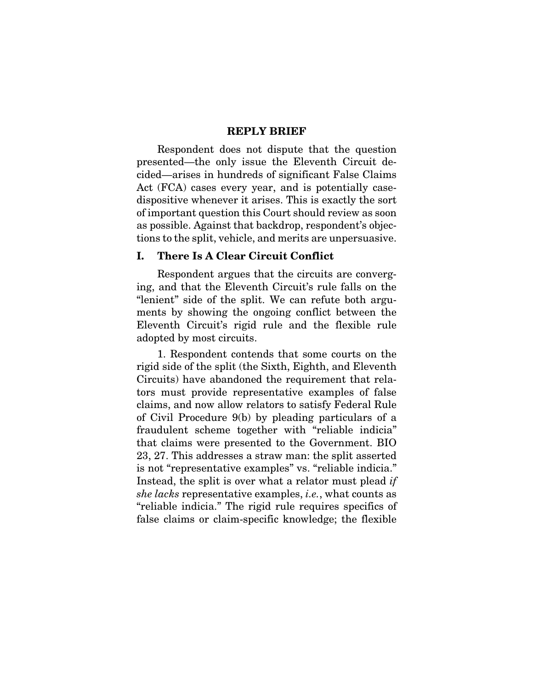#### REPLY BRIEF

<span id="page-4-0"></span>Respondent does not dispute that the question presented—the only issue the Eleventh Circuit decided—arises in hundreds of significant False Claims Act (FCA) cases every year, and is potentially casedispositive whenever it arises. This is exactly the sort of important question this Court should review as soon as possible. Against that backdrop, respondent's objections to the split, vehicle, and merits are unpersuasive.

#### <span id="page-4-1"></span>I. There Is A Clear Circuit Conflict

Respondent argues that the circuits are converging, and that the Eleventh Circuit's rule falls on the "lenient" side of the split. We can refute both arguments by showing the ongoing conflict between the Eleventh Circuit's rigid rule and the flexible rule adopted by most circuits.

1. Respondent contends that some courts on the rigid side of the split (the Sixth, Eighth, and Eleventh Circuits) have abandoned the requirement that relators must provide representative examples of false claims, and now allow relators to satisfy Federal Rule of Civil Procedure 9(b) by pleading particulars of a fraudulent scheme together with "reliable indicia" that claims were presented to the Government. BIO 23, 27. This addresses a straw man: the split asserted is not "representative examples" vs. "reliable indicia." Instead, the split is over what a relator must plead *if she lacks* representative examples, *i.e.*, what counts as "reliable indicia." The rigid rule requires specifics of false claims or claim-specific knowledge; the flexible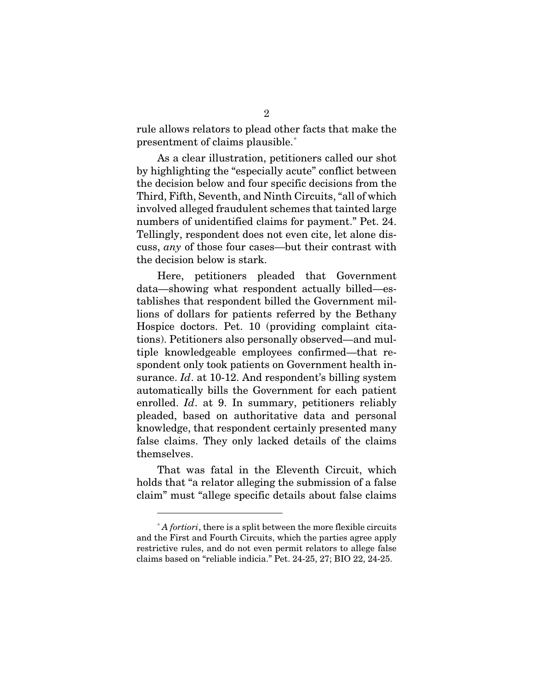rule allows relators to plead other facts that make the presentment of claims plausible.<sup>[\\*](#page-5-0)</sup>

As a clear illustration, petitioners called our shot by highlighting the "especially acute" conflict between the decision below and four specific decisions from the Third, Fifth, Seventh, and Ninth Circuits, "all of which involved alleged fraudulent schemes that tainted large numbers of unidentified claims for payment." Pet. 24. Tellingly, respondent does not even cite, let alone discuss, *any* of those four cases—but their contrast with the decision below is stark.

Here, petitioners pleaded that Government data—showing what respondent actually billed—establishes that respondent billed the Government millions of dollars for patients referred by the Bethany Hospice doctors. Pet. 10 (providing complaint citations). Petitioners also personally observed—and multiple knowledgeable employees confirmed—that respondent only took patients on Government health insurance. *Id*. at 10-12. And respondent's billing system automatically bills the Government for each patient enrolled. *Id*. at 9. In summary, petitioners reliably pleaded, based on authoritative data and personal knowledge, that respondent certainly presented many false claims. They only lacked details of the claims themselves.

That was fatal in the Eleventh Circuit, which holds that "a relator alleging the submission of a false claim" must "allege specific details about false claims

<span id="page-5-0"></span><sup>\*</sup> *A fortiori*, there is a split between the more flexible circuits and the First and Fourth Circuits, which the parties agree apply restrictive rules, and do not even permit relators to allege false claims based on "reliable indicia." Pet. 24-25, 27; BIO 22, 24-25.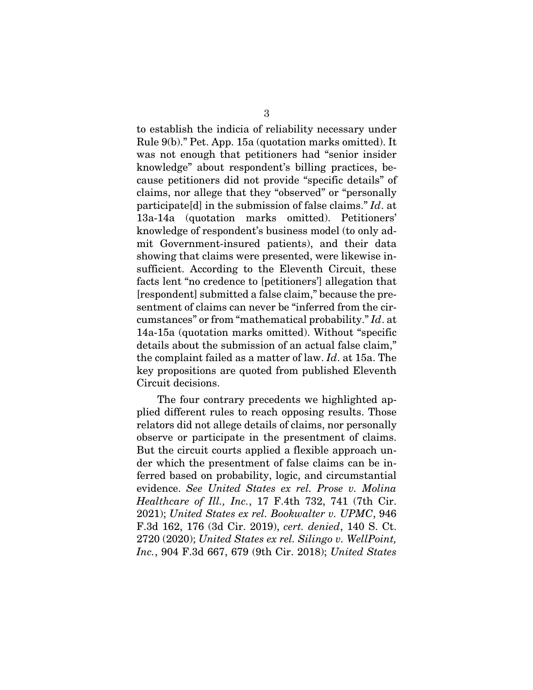to establish the indicia of reliability necessary under Rule 9(b)." Pet. App. 15a (quotation marks omitted). It was not enough that petitioners had "senior insider knowledge" about respondent's billing practices, because petitioners did not provide "specific details" of claims, nor allege that they "observed" or "personally participate[d] in the submission of false claims." *Id*. at 13a-14a (quotation marks omitted). Petitioners' knowledge of respondent's business model (to only admit Government-insured patients), and their data showing that claims were presented, were likewise insufficient. According to the Eleventh Circuit, these facts lent "no credence to [petitioners'] allegation that [respondent] submitted a false claim," because the presentment of claims can never be "inferred from the circumstances" or from "mathematical probability." *Id*. at 14a-15a (quotation marks omitted). Without "specific details about the submission of an actual false claim," the complaint failed as a matter of law. *Id*. at 15a. The key propositions are quoted from published Eleventh Circuit decisions.

The four contrary precedents we highlighted applied different rules to reach opposing results. Those relators did not allege details of claims, nor personally observe or participate in the presentment of claims. But the circuit courts applied a flexible approach under which the presentment of false claims can be inferred based on probability, logic, and circumstantial evidence. *See United States ex rel. Prose v. Molina Healthcare of Ill., Inc.*, 17 F.4th 732, 741 (7th Cir. 2021); *United States ex rel. Bookwalter v. UPMC*, 946 F.3d 162, 176 (3d Cir. 2019), *cert. denied*, 140 S. Ct. 2720 (2020); *United States ex rel. Silingo v. WellPoint, Inc.*, 904 F.3d 667, 679 (9th Cir. 2018); *United States*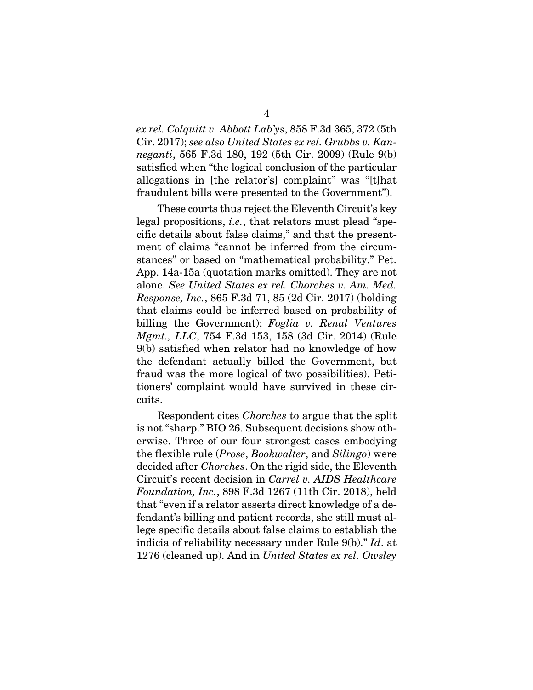*ex rel. Colquitt v. Abbott Lab'ys*, 858 F.3d 365, 372 (5th Cir. 2017); *see also United States ex rel. Grubbs v. Kanneganti*, 565 F.3d 180, 192 (5th Cir. 2009) (Rule 9(b) satisfied when "the logical conclusion of the particular allegations in [the relator's] complaint" was "[t]hat fraudulent bills were presented to the Government").

These courts thus reject the Eleventh Circuit's key legal propositions, *i.e.*, that relators must plead "specific details about false claims," and that the presentment of claims "cannot be inferred from the circumstances" or based on "mathematical probability." Pet. App. 14a-15a (quotation marks omitted). They are not alone. *See United States ex rel. Chorches v. Am. Med. Response, Inc.*, 865 F.3d 71, 85 (2d Cir. 2017) (holding that claims could be inferred based on probability of billing the Government); *Foglia v. Renal Ventures Mgmt., LLC*, 754 F.3d 153, 158 (3d Cir. 2014) (Rule 9(b) satisfied when relator had no knowledge of how the defendant actually billed the Government, but fraud was the more logical of two possibilities). Petitioners' complaint would have survived in these circuits.

Respondent cites *Chorches* to argue that the split is not "sharp." BIO 26. Subsequent decisions show otherwise. Three of our four strongest cases embodying the flexible rule (*Prose*, *Bookwalter*, and *Silingo*) were decided after *Chorches*. On the rigid side, the Eleventh Circuit's recent decision in *Carrel v. AIDS Healthcare Foundation, Inc.*, 898 F.3d 1267 (11th Cir. 2018), held that "even if a relator asserts direct knowledge of a defendant's billing and patient records, she still must allege specific details about false claims to establish the indicia of reliability necessary under Rule 9(b)." *Id*. at 1276 (cleaned up). And in *United States ex rel. Owsley*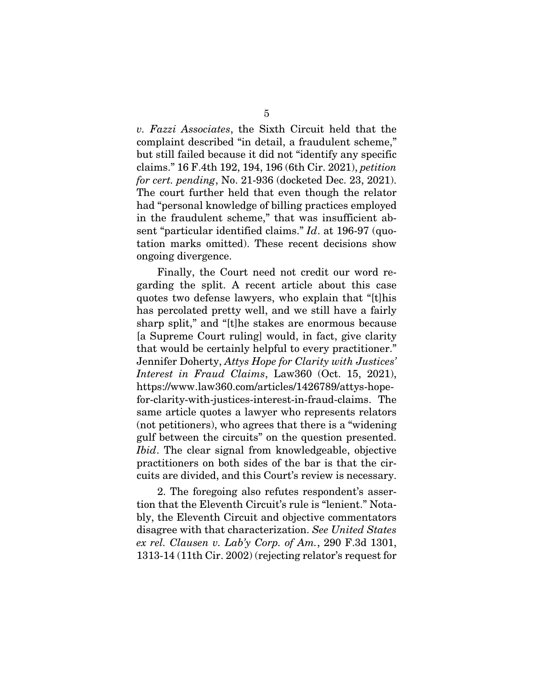*v. Fazzi Associates*, the Sixth Circuit held that the complaint described "in detail, a fraudulent scheme," but still failed because it did not "identify any specific claims." 16 F.4th 192, 194, 196 (6th Cir. 2021), *petition for cert. pending*, No. 21-936 (docketed Dec. 23, 2021). The court further held that even though the relator had "personal knowledge of billing practices employed in the fraudulent scheme," that was insufficient absent "particular identified claims." *Id*. at 196-97 (quotation marks omitted). These recent decisions show ongoing divergence.

Finally, the Court need not credit our word regarding the split. A recent article about this case quotes two defense lawyers, who explain that "[t]his has percolated pretty well, and we still have a fairly sharp split," and "[t]he stakes are enormous because [a Supreme Court ruling] would, in fact, give clarity that would be certainly helpful to every practitioner." Jennifer Doherty, *Attys Hope for Clarity with Justices' Interest in Fraud Claims*, Law360 (Oct. 15, 2021), https://www.law360.com/articles/1426789/attys-hopefor-clarity-with-justices-interest-in-fraud-claims. The same article quotes a lawyer who represents relators (not petitioners), who agrees that there is a "widening gulf between the circuits" on the question presented. *Ibid*. The clear signal from knowledgeable, objective practitioners on both sides of the bar is that the circuits are divided, and this Court's review is necessary.

2. The foregoing also refutes respondent's assertion that the Eleventh Circuit's rule is "lenient." Notably, the Eleventh Circuit and objective commentators disagree with that characterization. *See United States ex rel. Clausen v. Lab'y Corp. of Am.*, 290 F.3d 1301, 1313-14 (11th Cir. 2002) (rejecting relator's request for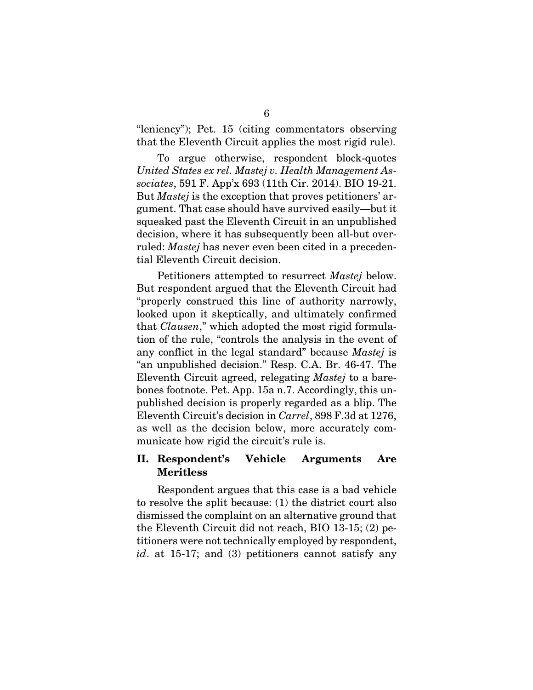"leniency"); Pet. 15 (citing commentators observing that the Eleventh Circuit applies the most rigid rule).

To argue otherwise, respondent block-quotes *United States ex rel. Mastej v. Health Management Associates*, 591 F. App'x 693 (11th Cir. 2014). BIO 19-21. But *Mastej* is the exception that proves petitioners' argument. That case should have survived easily—but it squeaked past the Eleventh Circuit in an unpublished decision, where it has subsequently been all-but overruled: *Mastej* has never even been cited in a precedential Eleventh Circuit decision.

Petitioners attempted to resurrect *Mastej* below. But respondent argued that the Eleventh Circuit had "properly construed this line of authority narrowly, looked upon it skeptically, and ultimately confirmed that *Clausen*," which adopted the most rigid formulation of the rule, "controls the analysis in the event of any conflict in the legal standard" because *Mastej* is "an unpublished decision." Resp. C.A. Br. 46-47. The Eleventh Circuit agreed, relegating *Mastej* to a barebones footnote. Pet. App. 15a n.7. Accordingly, this unpublished decision is properly regarded as a blip. The Eleventh Circuit's decision in *Carrel*, 898 F.3d at 1276, as well as the decision below, more accurately communicate how rigid the circuit's rule is.

### <span id="page-9-0"></span>II. Respondent's Vehicle Arguments Are Meritless

Respondent argues that this case is a bad vehicle to resolve the split because: (1) the district court also dismissed the complaint on an alternative ground that the Eleventh Circuit did not reach, BIO 13-15; (2) petitioners were not technically employed by respondent, *id*. at 15-17; and (3) petitioners cannot satisfy any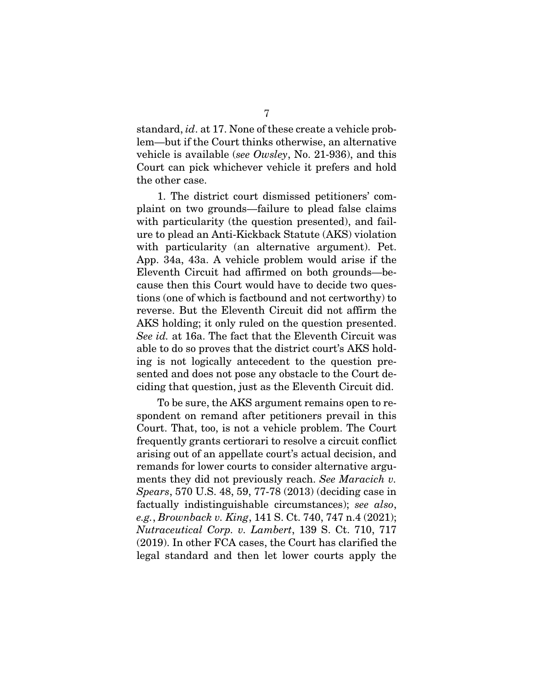standard, *id*. at 17. None of these create a vehicle problem—but if the Court thinks otherwise, an alternative vehicle is available (*see Owsley*, No. 21-936), and this Court can pick whichever vehicle it prefers and hold the other case.

1. The district court dismissed petitioners' complaint on two grounds—failure to plead false claims with particularity (the question presented), and failure to plead an Anti-Kickback Statute (AKS) violation with particularity (an alternative argument). Pet. App. 34a, 43a. A vehicle problem would arise if the Eleventh Circuit had affirmed on both grounds—because then this Court would have to decide two questions (one of which is factbound and not certworthy) to reverse. But the Eleventh Circuit did not affirm the AKS holding; it only ruled on the question presented. *See id.* at 16a. The fact that the Eleventh Circuit was able to do so proves that the district court's AKS holding is not logically antecedent to the question presented and does not pose any obstacle to the Court deciding that question, just as the Eleventh Circuit did.

To be sure, the AKS argument remains open to respondent on remand after petitioners prevail in this Court. That, too, is not a vehicle problem. The Court frequently grants certiorari to resolve a circuit conflict arising out of an appellate court's actual decision, and remands for lower courts to consider alternative arguments they did not previously reach. *See Maracich v. Spears*, 570 U.S. 48, 59, 77-78 (2013) (deciding case in factually indistinguishable circumstances); *see also*, *e.g.*, *Brownback v. King*, 141 S. Ct. 740, 747 n.4 (2021); *Nutraceutical Corp. v. Lambert*, 139 S. Ct. 710, 717 (2019). In other FCA cases, the Court has clarified the legal standard and then let lower courts apply the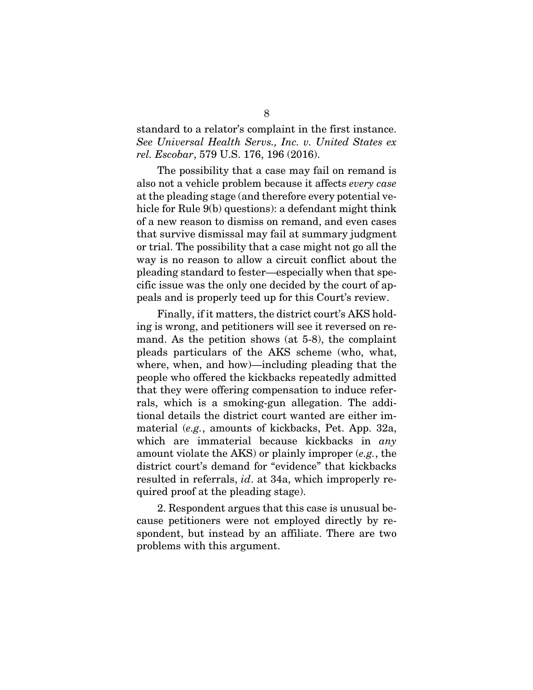### standard to a relator's complaint in the first instance. *See Universal Health Servs., Inc. v. United States ex rel. Escobar*, 579 U.S. 176, 196 (2016).

The possibility that a case may fail on remand is also not a vehicle problem because it affects *every case* at the pleading stage (and therefore every potential vehicle for Rule 9(b) questions): a defendant might think of a new reason to dismiss on remand, and even cases that survive dismissal may fail at summary judgment or trial. The possibility that a case might not go all the way is no reason to allow a circuit conflict about the pleading standard to fester—especially when that specific issue was the only one decided by the court of appeals and is properly teed up for this Court's review.

Finally, if it matters, the district court's AKS holding is wrong, and petitioners will see it reversed on remand. As the petition shows (at 5-8), the complaint pleads particulars of the AKS scheme (who, what, where, when, and how)—including pleading that the people who offered the kickbacks repeatedly admitted that they were offering compensation to induce referrals, which is a smoking-gun allegation. The additional details the district court wanted are either immaterial (*e.g.*, amounts of kickbacks, Pet. App. 32a, which are immaterial because kickbacks in *any* amount violate the AKS) or plainly improper (*e.g.*, the district court's demand for "evidence" that kickbacks resulted in referrals, *id*. at 34a, which improperly required proof at the pleading stage).

2. Respondent argues that this case is unusual because petitioners were not employed directly by respondent, but instead by an affiliate. There are two problems with this argument.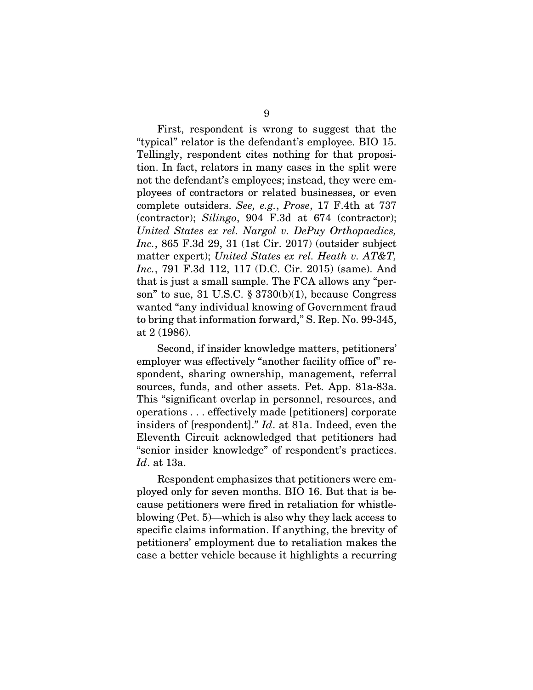First, respondent is wrong to suggest that the "typical" relator is the defendant's employee. BIO 15. Tellingly, respondent cites nothing for that proposition. In fact, relators in many cases in the split were not the defendant's employees; instead, they were employees of contractors or related businesses, or even complete outsiders. *See, e.g.*, *Prose*, 17 F.4th at 737 (contractor); *Silingo*, 904 F.3d at 674 (contractor); *United States ex rel. Nargol v. DePuy Orthopaedics, Inc.*, 865 F.3d 29, 31 (1st Cir. 2017) (outsider subject matter expert); *United States ex rel. Heath v. AT&T, Inc.*, 791 F.3d 112, 117 (D.C. Cir. 2015) (same). And that is just a small sample. The FCA allows any "person" to sue, 31 U.S.C. § 3730(b)(1), because Congress wanted "any individual knowing of Government fraud to bring that information forward," S. Rep. No. 99-345, at 2 (1986).

Second, if insider knowledge matters, petitioners' employer was effectively "another facility office of" respondent, sharing ownership, management, referral sources, funds, and other assets. Pet. App. 81a-83a. This "significant overlap in personnel, resources, and operations . . . effectively made [petitioners] corporate insiders of [respondent]." *Id*. at 81a. Indeed, even the Eleventh Circuit acknowledged that petitioners had "senior insider knowledge" of respondent's practices. *Id*. at 13a.

Respondent emphasizes that petitioners were employed only for seven months. BIO 16. But that is because petitioners were fired in retaliation for whistleblowing (Pet. 5)—which is also why they lack access to specific claims information. If anything, the brevity of petitioners' employment due to retaliation makes the case a better vehicle because it highlights a recurring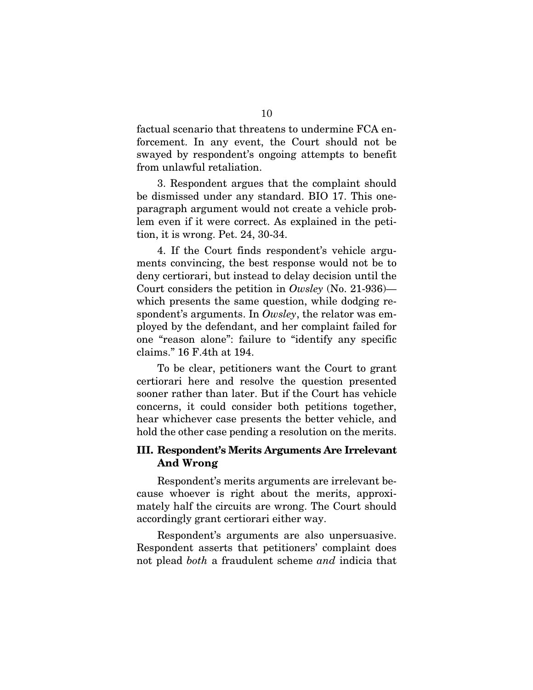factual scenario that threatens to undermine FCA enforcement. In any event, the Court should not be swayed by respondent's ongoing attempts to benefit from unlawful retaliation.

3. Respondent argues that the complaint should be dismissed under any standard. BIO 17. This oneparagraph argument would not create a vehicle problem even if it were correct. As explained in the petition, it is wrong. Pet. 24, 30-34.

4. If the Court finds respondent's vehicle arguments convincing, the best response would not be to deny certiorari, but instead to delay decision until the Court considers the petition in *Owsley* (No. 21-936) which presents the same question, while dodging respondent's arguments. In *Owsley*, the relator was employed by the defendant, and her complaint failed for one "reason alone": failure to "identify any specific claims." 16 F.4th at 194.

To be clear, petitioners want the Court to grant certiorari here and resolve the question presented sooner rather than later. But if the Court has vehicle concerns, it could consider both petitions together, hear whichever case presents the better vehicle, and hold the other case pending a resolution on the merits.

### <span id="page-13-0"></span>III. Respondent's Merits Arguments Are Irrelevant And Wrong

Respondent's merits arguments are irrelevant because whoever is right about the merits, approximately half the circuits are wrong. The Court should accordingly grant certiorari either way.

Respondent's arguments are also unpersuasive. Respondent asserts that petitioners' complaint does not plead *both* a fraudulent scheme *and* indicia that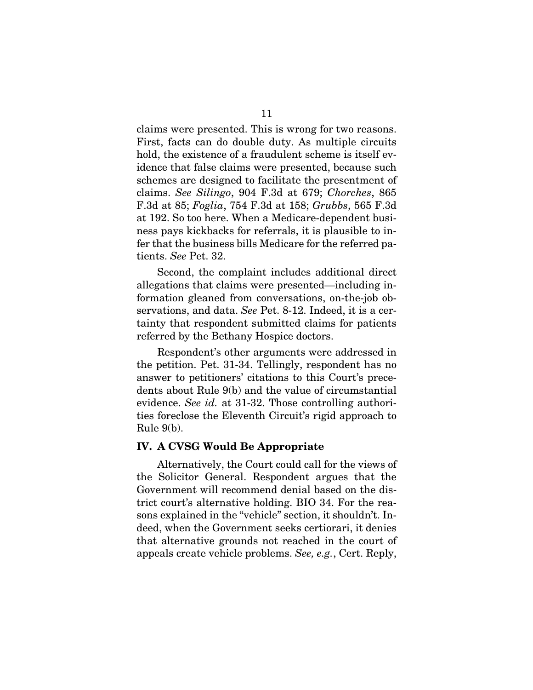claims were presented. This is wrong for two reasons. First, facts can do double duty. As multiple circuits hold, the existence of a fraudulent scheme is itself evidence that false claims were presented, because such schemes are designed to facilitate the presentment of claims. *See Silingo*, 904 F.3d at 679; *Chorches*, 865 F.3d at 85; *Foglia*, 754 F.3d at 158; *Grubbs*, 565 F.3d at 192. So too here. When a Medicare-dependent business pays kickbacks for referrals, it is plausible to infer that the business bills Medicare for the referred patients. *See* Pet. 32.

Second, the complaint includes additional direct allegations that claims were presented—including information gleaned from conversations, on-the-job observations, and data. *See* Pet. 8-12. Indeed, it is a certainty that respondent submitted claims for patients referred by the Bethany Hospice doctors.

Respondent's other arguments were addressed in the petition. Pet. 31-34. Tellingly, respondent has no answer to petitioners' citations to this Court's precedents about Rule 9(b) and the value of circumstantial evidence. *See id.* at 31-32. Those controlling authorities foreclose the Eleventh Circuit's rigid approach to Rule 9(b).

#### <span id="page-14-0"></span>IV. A CVSG Would Be Appropriate

Alternatively, the Court could call for the views of the Solicitor General. Respondent argues that the Government will recommend denial based on the district court's alternative holding. BIO 34. For the reasons explained in the "vehicle" section, it shouldn't. Indeed, when the Government seeks certiorari, it denies that alternative grounds not reached in the court of appeals create vehicle problems. *See, e.g.*, Cert. Reply,